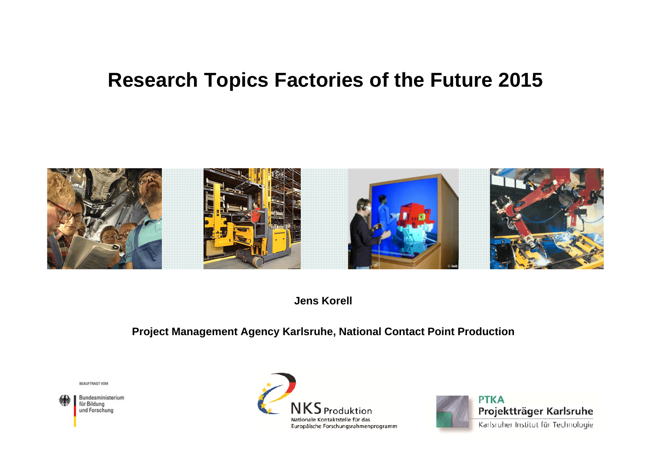#### **Research Topics Factories of the Future 2015**



**Jens Korell**

#### **Project Management Agency Karlsruhe, National Contact Point Production**

BEAUFTRAGT VOM

Bundesministerium für Bildung und Forschung



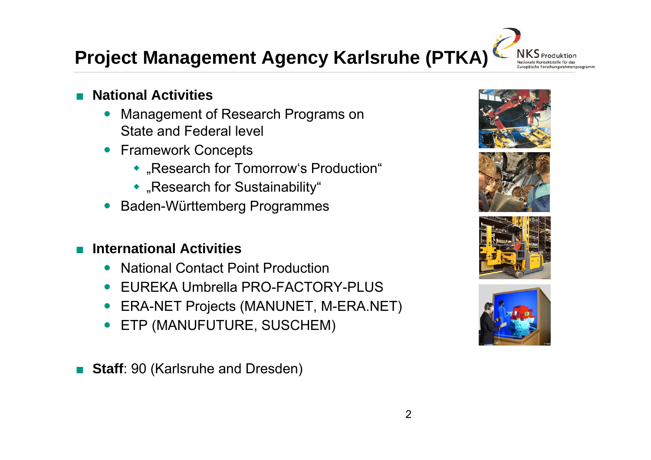# **Project Management Agency Karlsruhe (PTKA)**

- ■ **National Activities**
	- $\bullet$  Management of Research Programs on State and Federal level
	- Framework Concepts
		- "Research for Tomorrow's Production"
		- "Research for Sustainability"
	- $\bullet$ Baden-Württemberg Programmes

#### ■**International Activities**

- $\bullet$ National Contact Point Production
- $\bullet$ EUREKA Umbrella PRO-FACTORY-PLUS
- $\bullet$ ERA-NET Projects (MANUNET, M-ERA.NET)
- $\bullet$ ETP (MANUFUTURE, SUSCHEM)

■ **Staff**: 90 (Karlsruhe and Dresden)







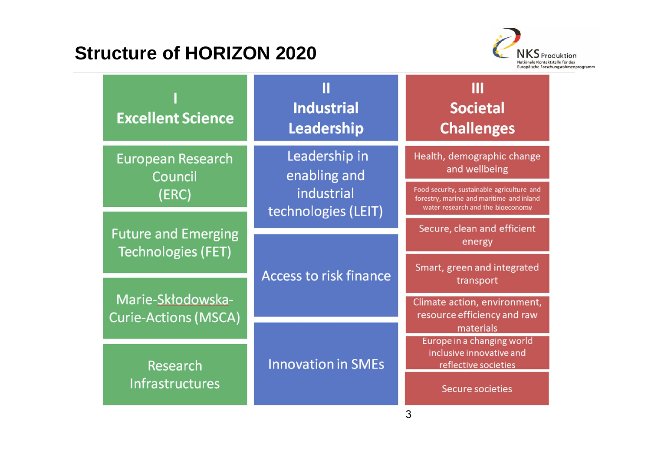#### **Structure of HORIZON 2020**



| <b>Excellent Science</b>                                                                                    | <b>Industrial</b><br>Leadership   | Ш<br><b>Societal</b><br><b>Challenges</b>                                                                                   |
|-------------------------------------------------------------------------------------------------------------|-----------------------------------|-----------------------------------------------------------------------------------------------------------------------------|
| <b>European Research</b><br>Council                                                                         | Leadership in<br>enabling and     | Health, demographic change<br>and wellbeing                                                                                 |
| (ERC)                                                                                                       | industrial<br>technologies (LEIT) | Food security, sustainable agriculture and<br>forestry, marine and maritime and inland<br>water research and the bioeconomy |
| <b>Future and Emerging</b><br><b>Technologies (FET)</b><br>Marie-Skłodowska-<br><b>Curie-Actions (MSCA)</b> | <b>Access to risk finance</b>     | Secure, clean and efficient<br>energy                                                                                       |
|                                                                                                             |                                   | Smart, green and integrated<br>transport                                                                                    |
|                                                                                                             |                                   | Climate action, environment,<br>resource efficiency and raw                                                                 |
| Research<br><b>Infrastructures</b>                                                                          | <b>Innovation in SMEs</b>         | materials<br>Europe in a changing world<br>inclusive innovative and<br>reflective societies                                 |
|                                                                                                             |                                   | <b>Secure societies</b><br>3                                                                                                |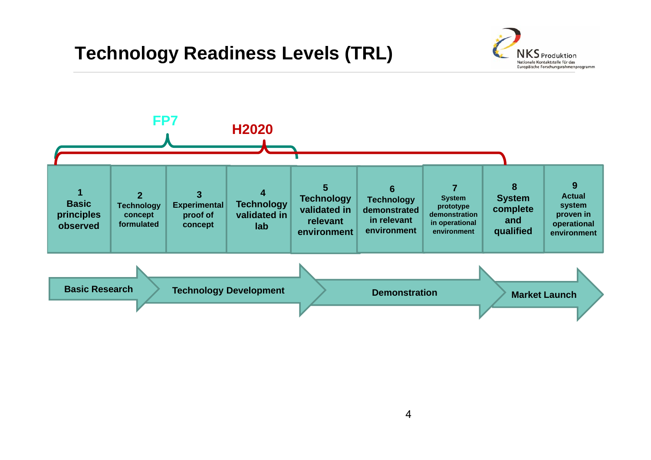#### **Technology Readiness Levels (TRL)**



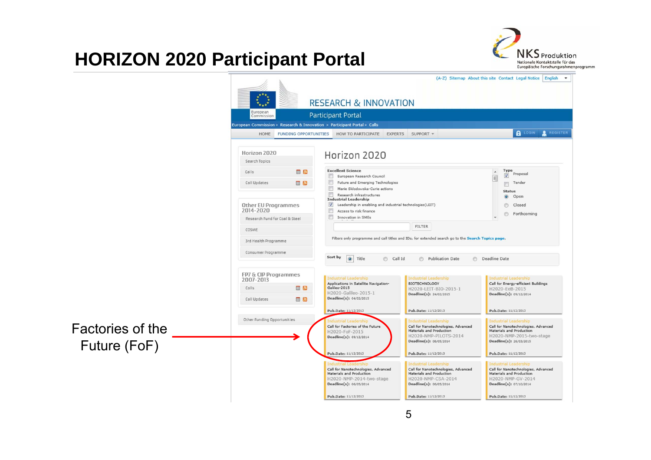#### **HORIZON 2020 Participant Portal**



|                                  |                                                                    |                              |                                                                                                                                                                              |                                                                                                                                                     | (A-Z) Sitemap About this site Contact Legal Notice   English                                                                                           |
|----------------------------------|--------------------------------------------------------------------|------------------------------|------------------------------------------------------------------------------------------------------------------------------------------------------------------------------|-----------------------------------------------------------------------------------------------------------------------------------------------------|--------------------------------------------------------------------------------------------------------------------------------------------------------|
|                                  |                                                                    |                              | <b>RESEARCH &amp; INNOVATION</b>                                                                                                                                             |                                                                                                                                                     |                                                                                                                                                        |
|                                  | European<br>Commission                                             |                              | Participant Portal                                                                                                                                                           |                                                                                                                                                     |                                                                                                                                                        |
|                                  |                                                                    |                              | European Commission > Research & Innovation > Participant Portal > Calls                                                                                                     |                                                                                                                                                     |                                                                                                                                                        |
|                                  | HOME                                                               | <b>FUNDING OPPORTUNITIES</b> | HOW TO PARTICIPATE EXPERTS SUPPORT *                                                                                                                                         |                                                                                                                                                     | <b>A</b> LOGIN & REGISTER                                                                                                                              |
|                                  | Horizon 2020<br>Search Topics                                      |                              | Horizon 2020                                                                                                                                                                 |                                                                                                                                                     |                                                                                                                                                        |
|                                  | Calls<br>Call Updates                                              | <b>B</b><br>$\blacksquare$   | <b>Excellent Science</b><br>European Research Council<br>w<br>同<br>Future and Emerging Technologies<br>E.<br>Marie Sklodowska-Curie actions<br>画<br>Research infrastructures |                                                                                                                                                     | Type<br>$\overline{\phantom{a}}$<br>Proposal<br>$\blacktriangledown$<br>E<br>Tender<br>m.<br><b>Status</b>                                             |
|                                  | Other EU Programmes<br>2014-2020<br>Research Fund for Coal & Steel |                              | <b>Industrial Leadership</b><br>V Leadership in enabling and industrial technologies (LEIT)<br>$\Box$<br>Access to risk finance<br>e<br>Innovation in SMEs                   |                                                                                                                                                     | $\bullet$<br>Open<br>Closed<br>⋒<br>Forthcoming                                                                                                        |
|                                  | COSME                                                              |                              |                                                                                                                                                                              | <b>FILTER</b>                                                                                                                                       |                                                                                                                                                        |
|                                  | 3rd Health Programme                                               |                              |                                                                                                                                                                              | Filters only programme and call titles and IDs, for extended search go to the Search Topics page.                                                   |                                                                                                                                                        |
|                                  | Consumer Programme                                                 |                              | Sort by<br>$\circ$ Title<br>Call Id                                                                                                                                          | Publication Date                                                                                                                                    | <b>B</b> Deadline Date                                                                                                                                 |
|                                  | FP7 & CIP Programmes<br>2007-2013                                  |                              | Industrial Leadership                                                                                                                                                        | <b>Industrial Leadership</b>                                                                                                                        | <b>Industrial Leadership</b>                                                                                                                           |
|                                  | Calls                                                              | <b>B</b>                     | Applications in Satellite Navigation-<br>Galileo-2015<br>H2020-Galileo-2015-1                                                                                                | <b>BIOTECHNOLOGY</b><br>H2020-LEIT-BIO-2015-1<br>Deadline(s): 24/02/2015                                                                            | Call for Energy-efficient Buildings<br>H2020-EeB-2015<br>Deadline(s): 09/12/2014                                                                       |
|                                  | Call Updates                                                       | $\blacksquare$               | Deadline(s): 04/02/2015                                                                                                                                                      |                                                                                                                                                     |                                                                                                                                                        |
|                                  |                                                                    |                              | Pub.Date: 11/12/2013                                                                                                                                                         | Pub.Date: 11/12/2013                                                                                                                                | Pub.Date: 11/12/2013                                                                                                                                   |
| Factories of the<br>Future (FoF) | Other Funding Opportunities                                        |                              | dustrial Leadership<br>Call for Factories of the Future<br>H2020-FoF-2015<br>Deadline(s): 09/12/2014                                                                         | <b>Industrial Leadership</b><br>Call for Nanotechnologies, Advanced<br>Materials and Production<br>H2020-NMP-PILOTS-2014<br>Deadline(s): 06/05/2014 | <b>Industrial Leadership</b><br>Call for Nanotechnologies, Advanced<br>Materials and Production<br>H2020-NMP-2015-two-stage<br>Deadline(s): 26/03/2015 |
|                                  |                                                                    |                              | Pub.Date: 11/12/2013                                                                                                                                                         | Pub.Date: 11/12/2013                                                                                                                                | Pub.Date: 11/12/2013                                                                                                                                   |
|                                  |                                                                    |                              | Call for Nanotechnologies, Advanced<br>Materials and Production<br>H2020-NMP-2014-two-stage<br>Deadline(s): 06/05/2014                                                       | <b>Industrial Leadership</b><br>Call for Nanotechnologies, Advanced<br>Materials and Production<br>H2020-NMP-CSA-2014<br>Deadline(s): 06/05/2014    | <b>Industrial Leadership</b><br>Call for Nanotechnologies, Advanced<br>Materials and Production<br>H2020-NMP-GV-2014<br>Deadline(s): 07/10/2014        |
|                                  |                                                                    |                              | Pub.Date: 11/12/2013                                                                                                                                                         | Pub.Date: 11/12/2013                                                                                                                                | Pub.Date: 11/12/2013                                                                                                                                   |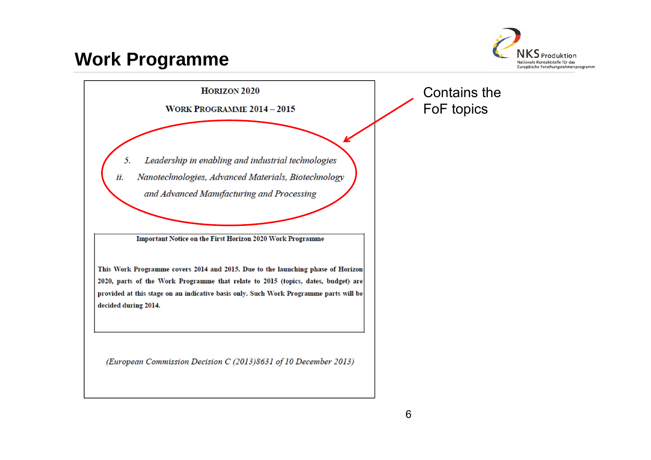#### **Work Programme**



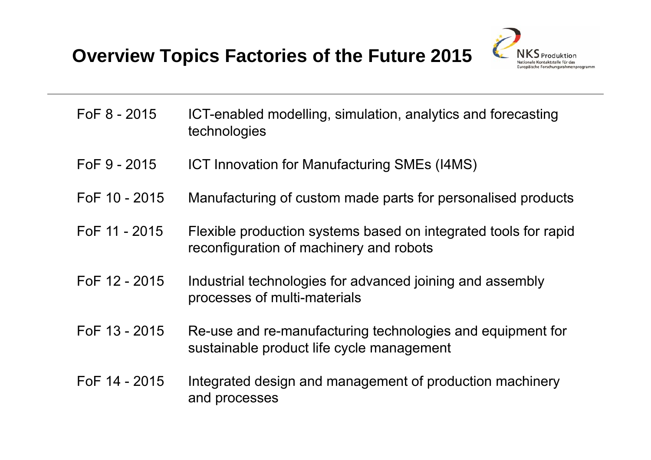

- FoF 8 2015 ICT-enabled modelling, simulation, analytics and forecasting technologies
- FoF 9 2015 ICT Innovation for Manufacturing SMEs (I4MS)
- FoF 10 2015 Manufacturing of custom made parts for personalised products
- FoF 11 2015 Flexible production systems based on integrated tools for rapid reconfiguration of machinery and robots
- FoF 12 2015 Industrial technologies for advanced joining and assembly processes of multi-materials
- FoF 13 2015 Re-use and re-manufacturing technologies and equipment for sustainable product life cycle management
- FoF 14 2015 Integrated design and management of production machinery and processes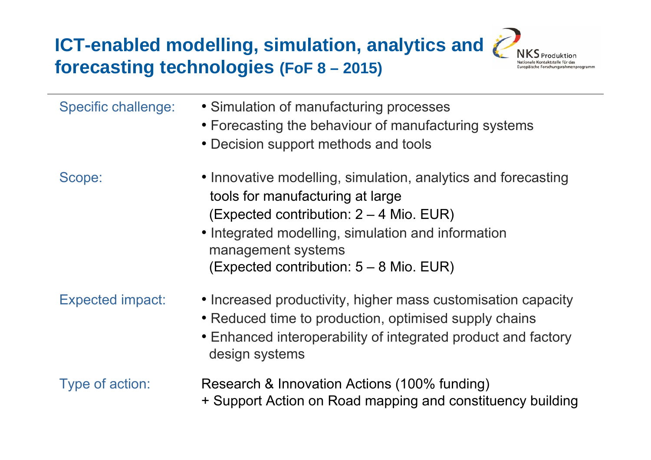**ICT-enabled modelling, simulation, analytics and forecasting technologies (FoF <sup>8</sup> – 2015)**



| <b>Specific challenge:</b> | • Simulation of manufacturing processes<br>• Forecasting the behaviour of manufacturing systems<br>• Decision support methods and tools                                                                                                                             |
|----------------------------|---------------------------------------------------------------------------------------------------------------------------------------------------------------------------------------------------------------------------------------------------------------------|
| Scope:                     | • Innovative modelling, simulation, analytics and forecasting<br>tools for manufacturing at large<br>(Expected contribution: 2 – 4 Mio. EUR)<br>• Integrated modelling, simulation and information<br>management systems<br>(Expected contribution: 5 – 8 Mio. EUR) |
| <b>Expected impact:</b>    | • Increased productivity, higher mass customisation capacity<br>• Reduced time to production, optimised supply chains<br>• Enhanced interoperability of integrated product and factory<br>design systems                                                            |
| Type of action:            | Research & Innovation Actions (100% funding)<br>+ Support Action on Road mapping and constituency building                                                                                                                                                          |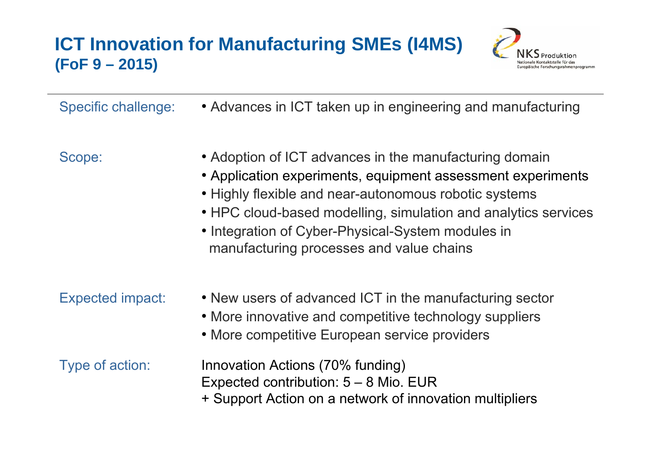#### **ICT Innovation for Manufacturing SMEs (I4MS) (FoF 9 – 2015)**



Specific challenge: • Advances in ICT taken up in engineering and manufacturing

- Scope: Adoption of ICT advances in the manufacturing domain
	- Application experiments, equipment assessment experiments
	- Highly flexible and near-autonomous robotic systems
	- HPC cloud-based modelling, simulation and analytics services
	- Integration of Cyber-Physical-System modules in manufacturing processes and value chains

- Expected impact: New users of advanced ICT in the manufacturing sector
	- More innovative and competitive technology suppliers
	- More competitive European service providers

- Type of action: Innovation Actions (70% funding) Expected contribution: 5 – 8 Mio. EUR
	- + Support Action on a network of innovation multipliers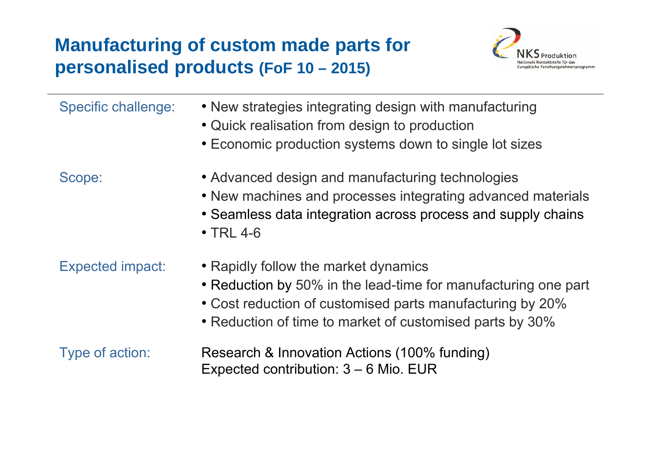#### **Manufacturing of custom made parts for personalised products (FoF 10 – 2015)**



| <b>Specific challenge:</b> | • New strategies integrating design with manufacturing<br>• Quick realisation from design to production<br>• Economic production systems down to single lot sizes                                                               |
|----------------------------|---------------------------------------------------------------------------------------------------------------------------------------------------------------------------------------------------------------------------------|
| Scope:                     | • Advanced design and manufacturing technologies<br>• New machines and processes integrating advanced materials<br>• Seamless data integration across process and supply chains<br>$\cdot$ TRL 4-6                              |
| <b>Expected impact:</b>    | • Rapidly follow the market dynamics<br>• Reduction by 50% in the lead-time for manufacturing one part<br>• Cost reduction of customised parts manufacturing by 20%<br>• Reduction of time to market of customised parts by 30% |
| Type of action:            | Research & Innovation Actions (100% funding)<br>Expected contribution: $3 - 6$ Mio. EUR                                                                                                                                         |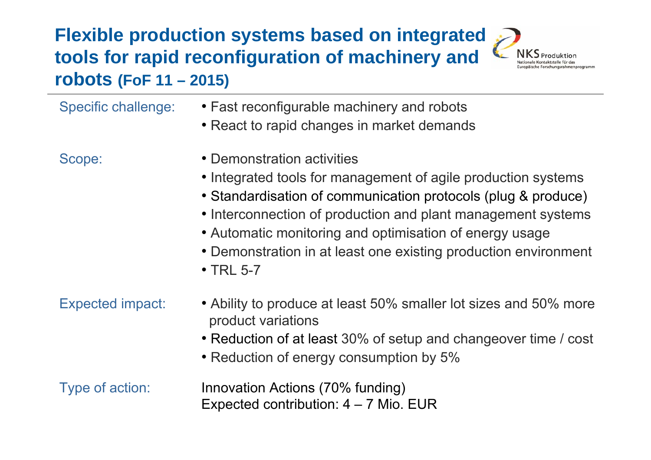#### **Flexible production systems based on integrated tools for rapid reconfiguration of machinery and robots (FoF 11 – 2015)**



| Specific challenge: | • Fast reconfigurable machinery and robots<br>• React to rapid changes in market demands |  |
|---------------------|------------------------------------------------------------------------------------------|--|
|                     |                                                                                          |  |

- 
- Scope: Demonstration activities
	- Integrated tools for management of agile production systems
	- Standardisation of communication protocols (plug & produce)
	- Interconnection of production and plant management systems
	- Automatic monitoring and optimisation of energy usage
	- Demonstration in at least one existing production environment
	- TRL 5-7

- Expected impact: Ability to produce at least 50% smaller lot sizes and 50% more product variations
	- Reduction of at least 30% of setup and changeover time / cost
	- Reduction of energy consumption by 5%

Type of action: Innovation Actions (70% funding) Expected contribution: 4 – 7 Mio. EUR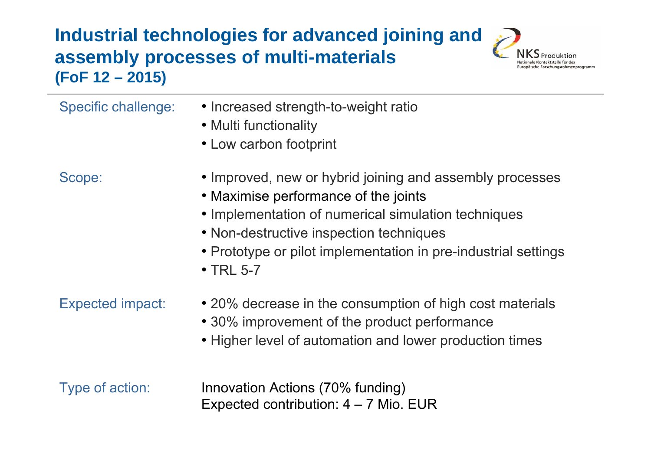#### **Industrial technologies for advanced joining and assembly processes of multi-materials (FoF 12 – 2015)**



| <b>Specific challenge:</b> | • Increased strength-to-weight ratio<br>• Multi functionality<br>• Low carbon footprint                                                                                                                                                                                                 |
|----------------------------|-----------------------------------------------------------------------------------------------------------------------------------------------------------------------------------------------------------------------------------------------------------------------------------------|
| Scope:                     | • Improved, new or hybrid joining and assembly processes<br>• Maximise performance of the joints<br>• Implementation of numerical simulation techniques<br>• Non-destructive inspection techniques<br>• Prototype or pilot implementation in pre-industrial settings<br>$\cdot$ TRL 5-7 |
| <b>Expected impact:</b>    | • 20% decrease in the consumption of high cost materials<br>• 30% improvement of the product performance<br>• Higher level of automation and lower production times                                                                                                                     |
| Type of action:            | Innovation Actions (70% funding)<br>Expected contribution: $4 - 7$ Mio. EUR                                                                                                                                                                                                             |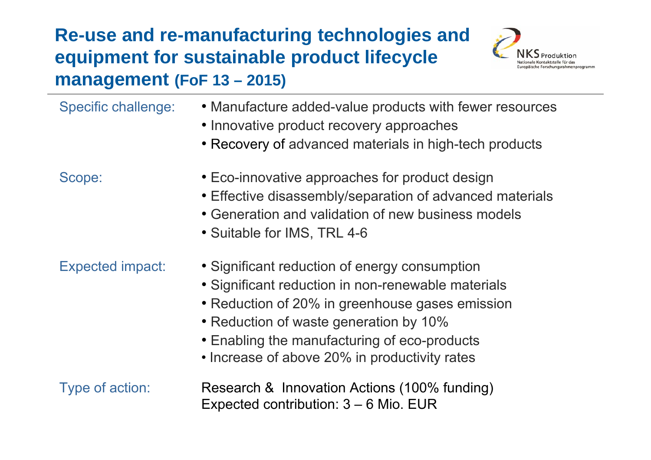#### **Re-use and re-manufacturing technologies and equipment for sustainable product lifecycle management (FoF 13 – 2015)**



| <b>Specific challenge:</b> | • Manufacture added-value products with fewer resources<br>• Innovative product recovery approaches<br>• Recovery of advanced materials in high-tech products                                   |
|----------------------------|-------------------------------------------------------------------------------------------------------------------------------------------------------------------------------------------------|
| Scope:                     | • Eco-innovative approaches for product design<br>• Effective disassembly/separation of advanced materials<br>• Generation and validation of new business models<br>• Suitable for IMS, TRL 4-6 |
| <b>Expected impact:</b>    | • Significant reduction of energy consumption<br>• Significant reduction in non-renewable materials                                                                                             |

- Reduction of 20% in greenhouse gases emission
- Reduction of waste generation by 10%
- Enabling the manufacturing of eco-products
- Increase of above 20% in productivity rates

Type of action: Research & Innovation Actions (100% funding) Expected contribution: 3 – 6 Mio. EUR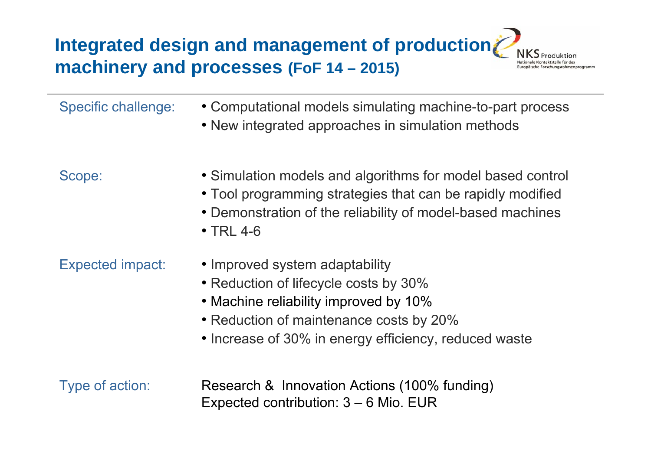## **Integrated design and management of production machinery and processes (FoF 14 – 2015)**



| <b>Specific challenge:</b> | • Computational models simulating machine-to-part process<br>• New integrated approaches in simulation methods                                                                                                       |
|----------------------------|----------------------------------------------------------------------------------------------------------------------------------------------------------------------------------------------------------------------|
| Scope:                     | • Simulation models and algorithms for model based control<br>• Tool programming strategies that can be rapidly modified<br>• Demonstration of the reliability of model-based machines<br>$\cdot$ TRL 4-6            |
| <b>Expected impact:</b>    | • Improved system adaptability<br>• Reduction of lifecycle costs by 30%<br>• Machine reliability improved by 10%<br>• Reduction of maintenance costs by 20%<br>• Increase of 30% in energy efficiency, reduced waste |
| Type of action:            | Research & Innovation Actions (100% funding)<br>Expected contribution: $3 - 6$ Mio. EUR                                                                                                                              |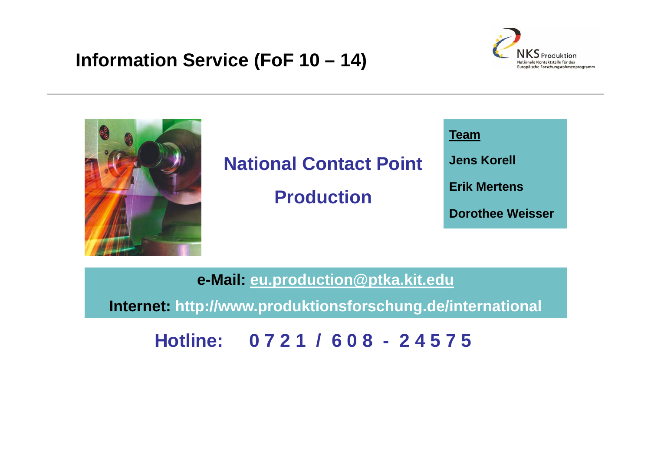#### **Information Service (FoF 10 – 14)**





## **National Contact Point**

**Production**



**e-Mail: eu.production@ptka.kit.edu**

**Internet: http://www.produktionsforschung.de/international**

**Hotline: 0 7 2 1 / 6 0 8 - 2 4 5 7 5**